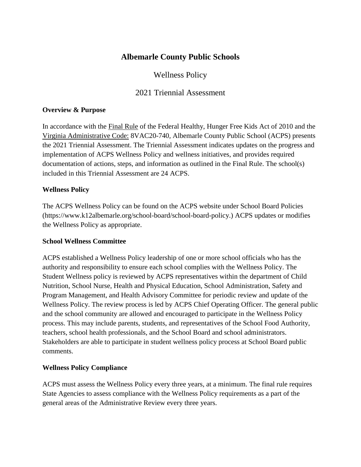# **Albemarle County Public Schools**

# Wellness Policy

# 2021 Triennial Assessment

#### **Overview & Purpose**

In accordance with the [Final Rule](https://fns-prod.azureedge.net/sites/default/files/tn/LWPsummary_finalrule.pdf) of the Federal Healthy, Hunger Free Kids Act of 2010 and the [Virginia Administrative Code:](https://law.lis.virginia.gov/admincode/title8/agency20/chapter740/) 8VAC20-740*,* Albemarle County Public School (ACPS) presents the 2021 Triennial Assessment. The Triennial Assessment indicates updates on the progress and implementation of ACPS Wellness Policy and wellness initiatives, and provides required documentation of actions, steps, and information as outlined in the Final Rule. The school(s) included in this Triennial Assessment are 24 ACPS.

#### **Wellness Policy**

The ACPS Wellness Policy can be found on the ACPS website under School Board Policies (https://www.k12albemarle.org/school-board/school-board-policy.) ACPS updates or modifies the Wellness Policy as appropriate.

#### **School Wellness Committee**

ACPS established a Wellness Policy leadership of one or more school officials who has the authority and responsibility to ensure each school complies with the Wellness Policy. The Student Wellness policy is reviewed by ACPS representatives within the department of Child Nutrition, School Nurse, Health and Physical Education, School Administration, Safety and Program Management, and Health Advisory Committee for periodic review and update of the Wellness Policy. The review process is led by ACPS Chief Operating Officer. The general public and the school community are allowed and encouraged to participate in the Wellness Policy process. This may include parents, students, and representatives of the School Food Authority, teachers, school health professionals, and the School Board and school administrators. Stakeholders are able to participate in student wellness policy process at School Board public comments.

#### **Wellness Policy Compliance**

ACPS must assess the Wellness Policy every three years, at a minimum. The final rule requires State Agencies to assess compliance with the Wellness Policy requirements as a part of the general areas of the Administrative Review every three years.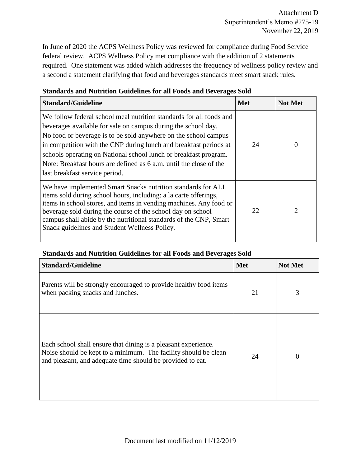In June of 2020 the ACPS Wellness Policy was reviewed for compliance during Food Service federal review. ACPS Wellness Policy met compliance with the addition of 2 statements required. One statement was added which addresses the frequency of wellness policy review and a second a statement clarifying that food and beverages standards meet smart snack rules.

| <b>Standard/Guideline</b>                                                                                                                                                                                                                                                                                                                                                                                                                                | <b>Met</b> | <b>Not Met</b> |
|----------------------------------------------------------------------------------------------------------------------------------------------------------------------------------------------------------------------------------------------------------------------------------------------------------------------------------------------------------------------------------------------------------------------------------------------------------|------------|----------------|
| We follow federal school meal nutrition standards for all foods and<br>beverages available for sale on campus during the school day.<br>No food or beverage is to be sold anywhere on the school campus<br>in competition with the CNP during lunch and breakfast periods at<br>schools operating on National school lunch or breakfast program.<br>Note: Breakfast hours are defined as 6 a.m. until the close of the<br>last breakfast service period. | 24         | $\Omega$       |
| We have implemented Smart Snacks nutrition standards for ALL<br>items sold during school hours, including: a la carte offerings,<br>items in school stores, and items in vending machines. Any food or<br>beverage sold during the course of the school day on school<br>campus shall abide by the nutritional standards of the CNP, Smart<br>Snack guidelines and Student Wellness Policy.                                                              | 22.        | 2              |

## **Standards and Nutrition Guidelines for all Foods and Beverages Sold**

#### **Standards and Nutrition Guidelines for all Foods and Beverages Sold**

| <b>Standard/Guideline</b>                                                                                                                                                                       | <b>Met</b> | <b>Not Met</b>    |
|-------------------------------------------------------------------------------------------------------------------------------------------------------------------------------------------------|------------|-------------------|
| Parents will be strongly encouraged to provide healthy food items<br>when packing snacks and lunches.                                                                                           | 21         | 3                 |
| Each school shall ensure that dining is a pleasant experience.<br>Noise should be kept to a minimum. The facility should be clean<br>and pleasant, and adequate time should be provided to eat. | 24         | $\mathbf{\Omega}$ |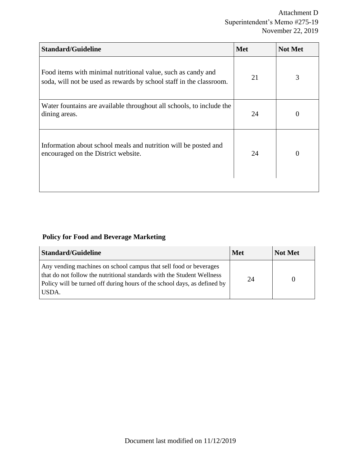| <b>Standard/Guideline</b>                                                                                                           | <b>Met</b> | <b>Not Met</b> |
|-------------------------------------------------------------------------------------------------------------------------------------|------------|----------------|
| Food items with minimal nutritional value, such as candy and<br>soda, will not be used as rewards by school staff in the classroom. | 21         | 3              |
| Water fountains are available throughout all schools, to include the<br>dining areas.                                               | 24         | 0              |
| Information about school meals and nutrition will be posted and<br>encouraged on the District website.                              | 24         | 0              |
|                                                                                                                                     |            |                |

# **Policy for Food and Beverage Marketing**

| <b>Standard/Guideline</b>                                                                                                                                                                                                        | <b>Met</b> | <b>Not Met</b> |
|----------------------------------------------------------------------------------------------------------------------------------------------------------------------------------------------------------------------------------|------------|----------------|
| Any vending machines on school campus that sell food or beverages<br>that do not follow the nutritional standards with the Student Wellness<br>Policy will be turned off during hours of the school days, as defined by<br>USDA. | 24         |                |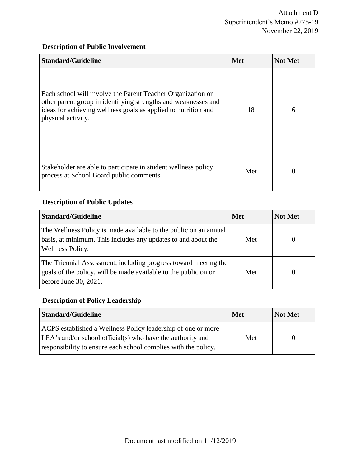## **Description of Public Involvement**

| <b>Standard/Guideline</b>                                                                                                                                                                                             | <b>Met</b> | <b>Not Met</b> |
|-----------------------------------------------------------------------------------------------------------------------------------------------------------------------------------------------------------------------|------------|----------------|
| Each school will involve the Parent Teacher Organization or<br>other parent group in identifying strengths and weaknesses and<br>ideas for achieving wellness goals as applied to nutrition and<br>physical activity. | 18         | 6              |
| Stakeholder are able to participate in student wellness policy<br>process at School Board public comments                                                                                                             | Met        |                |

# **Description of Public Updates**

| <b>Standard/Guideline</b>                                                                                                                                   | <b>Met</b> | <b>Not Met</b> |
|-------------------------------------------------------------------------------------------------------------------------------------------------------------|------------|----------------|
| The Wellness Policy is made available to the public on an annual<br>basis, at minimum. This includes any updates to and about the<br>Wellness Policy.       | Met        |                |
| The Triennial Assessment, including progress toward meeting the<br>goals of the policy, will be made available to the public on or<br>before June 30, 2021. | Met        | $\theta$       |

# **Description of Policy Leadership**

| <b>Standard/Guideline</b>                                                                                                                                                                    | <b>Met</b> | Not Met |
|----------------------------------------------------------------------------------------------------------------------------------------------------------------------------------------------|------------|---------|
| ACPS established a Wellness Policy leadership of one or more<br>LEA's and/or school official(s) who have the authority and<br>responsibility to ensure each school complies with the policy. | Met        |         |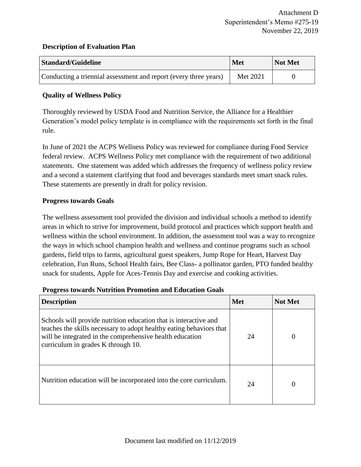#### **Description of Evaluation Plan**

| <b>Standard/Guideline</b>                                        | <b>Met</b> | Not Met |
|------------------------------------------------------------------|------------|---------|
| Conducting a triennial assessment and report (every three years) | Met 2021   |         |

### **Quality of Wellness Policy**

Thoroughly reviewed by USDA Food and Nutrition Service, the Alliance for a Healthier Generation's model policy template is in compliance with the requirements set forth in the final rule.

In June of 2021 the ACPS Wellness Policy was reviewed for compliance during Food Service federal review. ACPS Wellness Policy met compliance with the requirement of two additional statements. One statement was added which addresses the frequency of wellness policy review and a second a statement clarifying that food and beverages standards meet smart snack rules. These statements are presently in draft for policy revision.

#### **Progress towards Goals**

The wellness assessment tool provided the division and individual schools a method to identify areas in which to strive for improvement, build protocol and practices which support health and wellness within the school environment. In addition, the assessment tool was a way to recognize the ways in which school champion health and wellness and continue programs such as school gardens, field trips to farms, agricultural guest speakers, Jump Rope for Heart, Harvest Day celebration, Fun Runs, School Health fairs, Bee Class- a pollinator garden, PTO funded healthy snack for students, Apple for Aces-Tennis Day and exercise and cooking activities.

|  |  | <b>Progress towards Nutrition Promotion and Education Goals</b> |  |  |
|--|--|-----------------------------------------------------------------|--|--|
|--|--|-----------------------------------------------------------------|--|--|

| <b>Description</b>                                                                                                                                                                                                                        | <b>Met</b> | <b>Not Met</b> |  |
|-------------------------------------------------------------------------------------------------------------------------------------------------------------------------------------------------------------------------------------------|------------|----------------|--|
| Schools will provide nutrition education that is interactive and<br>teaches the skills necessary to adopt healthy eating behaviors that<br>will be integrated in the comprehensive health education<br>curriculum in grades K through 10. | 24         |                |  |
| Nutrition education will be incorporated into the core curriculum.                                                                                                                                                                        | 24         |                |  |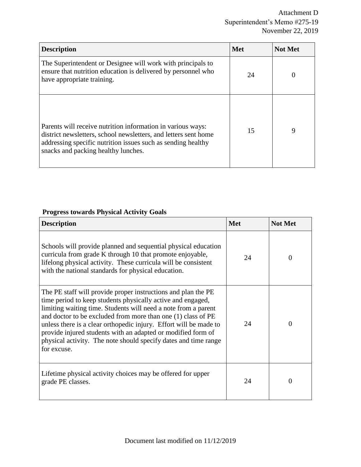| <b>Description</b>                                                                                                                                                                                                                    | <b>Met</b> | <b>Not Met</b> |
|---------------------------------------------------------------------------------------------------------------------------------------------------------------------------------------------------------------------------------------|------------|----------------|
| The Superintendent or Designee will work with principals to<br>ensure that nutrition education is delivered by personnel who<br>have appropriate training.                                                                            | 24         |                |
| Parents will receive nutrition information in various ways:<br>district newsletters, school newsletters, and letters sent home<br>addressing specific nutrition issues such as sending healthy<br>snacks and packing healthy lunches. | 15         | 9              |

# **Progress towards Physical Activity Goals**

| <b>Description</b>                                                                                                                                                                                                                                                                                                                                                                                                                                                                    | <b>Met</b> | <b>Not Met</b> |
|---------------------------------------------------------------------------------------------------------------------------------------------------------------------------------------------------------------------------------------------------------------------------------------------------------------------------------------------------------------------------------------------------------------------------------------------------------------------------------------|------------|----------------|
| Schools will provide planned and sequential physical education<br>curricula from grade K through 10 that promote enjoyable,<br>lifelong physical activity. These curricula will be consistent<br>with the national standards for physical education.                                                                                                                                                                                                                                  | 24         | 0              |
| The PE staff will provide proper instructions and plan the PE<br>time period to keep students physically active and engaged,<br>limiting waiting time. Students will need a note from a parent<br>and doctor to be excluded from more than one (1) class of PE<br>unless there is a clear orthopedic injury. Effort will be made to<br>provide injured students with an adapted or modified form of<br>physical activity. The note should specify dates and time range<br>for excuse. | 24         | $\Omega$       |
| Lifetime physical activity choices may be offered for upper<br>grade PE classes.                                                                                                                                                                                                                                                                                                                                                                                                      | 24         | $\Omega$       |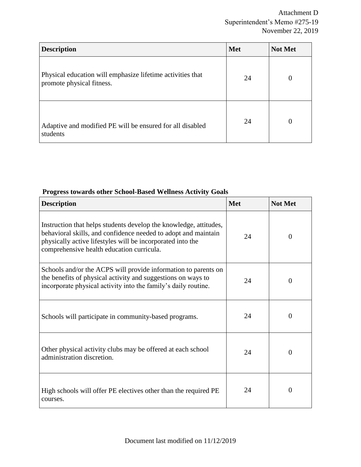| <b>Description</b>                                                                      | <b>Met</b> | <b>Not Met</b> |
|-----------------------------------------------------------------------------------------|------------|----------------|
| Physical education will emphasize lifetime activities that<br>promote physical fitness. | 24         | $\theta$       |
| Adaptive and modified PE will be ensured for all disabled<br>students                   | 24         | $\Omega$       |

## **Progress towards other School-Based Wellness Activity Goals**

| <b>Description</b>                                                                                                                                                                                                                             | <b>Met</b> | <b>Not Met</b> |
|------------------------------------------------------------------------------------------------------------------------------------------------------------------------------------------------------------------------------------------------|------------|----------------|
| Instruction that helps students develop the knowledge, attitudes,<br>behavioral skills, and confidence needed to adopt and maintain<br>physically active lifestyles will be incorporated into the<br>comprehensive health education curricula. | 24         | $\overline{0}$ |
| Schools and/or the ACPS will provide information to parents on<br>the benefits of physical activity and suggestions on ways to<br>incorporate physical activity into the family's daily routine.                                               | 24         | $\overline{0}$ |
| Schools will participate in community-based programs.                                                                                                                                                                                          | 24         | $\overline{0}$ |
| Other physical activity clubs may be offered at each school<br>administration discretion.                                                                                                                                                      | 24         | $\overline{0}$ |
| High schools will offer PE electives other than the required PE<br>courses.                                                                                                                                                                    | 24         | $\Omega$       |